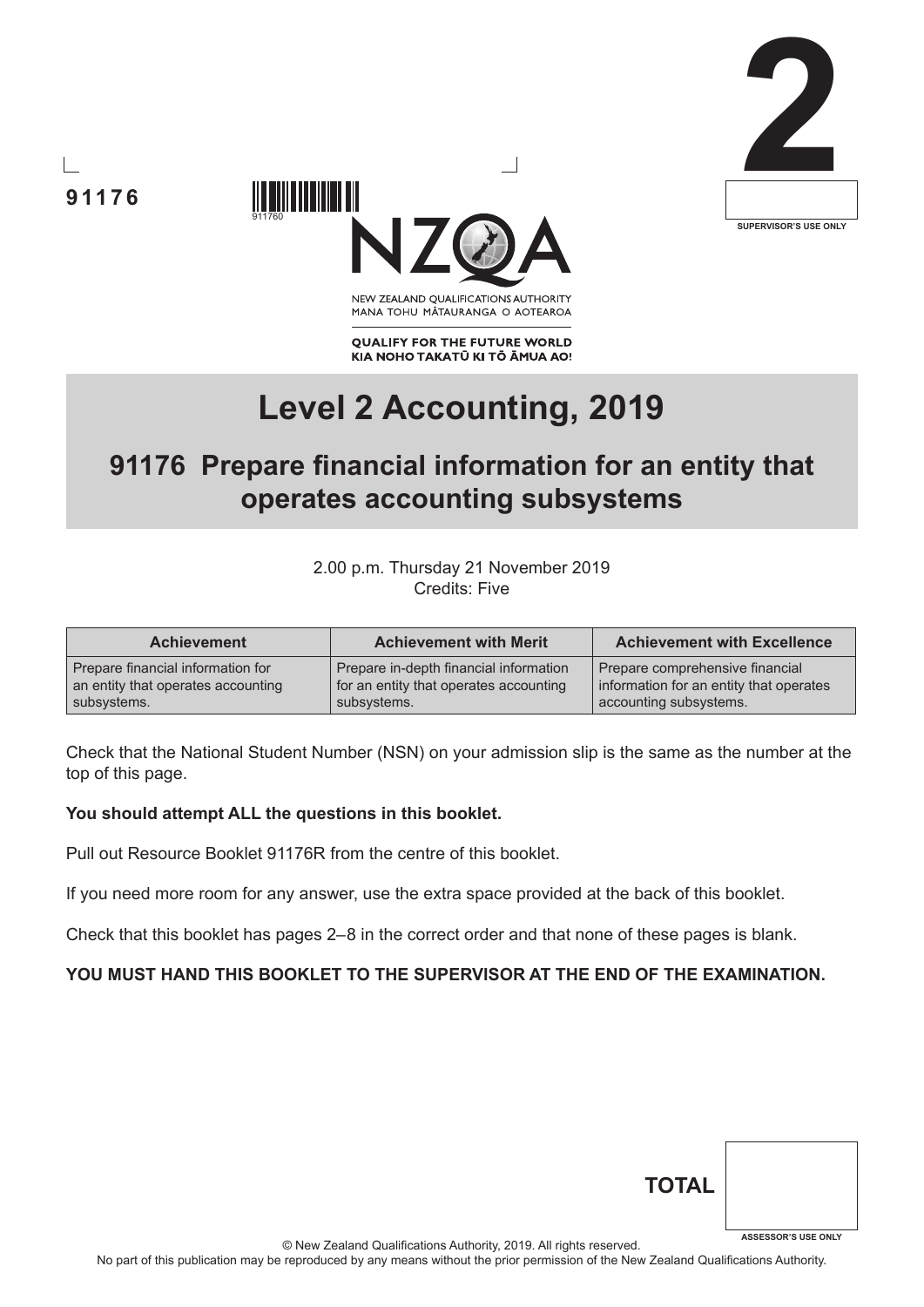





NEW ZEALAND OUALIFICATIONS AUTHORITY MANA TOHU MATAURANGA O AOTEAROA

**QUALIFY FOR THE FUTURE WORLD** KIA NOHO TAKATŪ KI TŌ ĀMUA AO!

# **Level 2 Accounting, 2019**

# **91176 Prepare financial information for an entity that operates accounting subsystems**

2.00 p.m. Thursday 21 November 2019 Credits: Five

| <b>Achievement</b>                 | <b>Achievement with Merit</b>          | <b>Achievement with Excellence</b>      |
|------------------------------------|----------------------------------------|-----------------------------------------|
| Prepare financial information for  | Prepare in-depth financial information | Prepare comprehensive financial         |
| an entity that operates accounting | for an entity that operates accounting | information for an entity that operates |
| subsystems.                        | subsystems.                            | accounting subsystems.                  |

Check that the National Student Number (NSN) on your admission slip is the same as the number at the top of this page.

#### **You should attempt ALL the questions in this booklet.**

Pull out Resource Booklet 91176R from the centre of this booklet.

If you need more room for any answer, use the extra space provided at the back of this booklet.

Check that this booklet has pages 2–8 in the correct order and that none of these pages is blank.

#### **YOU MUST HAND THIS BOOKLET TO THE SUPERVISOR AT THE END OF THE EXAMINATION.**

| <b>TOTAL</b> |                            |
|--------------|----------------------------|
|              | <b>ASSESSOR'S USE ONLY</b> |

© New Zealand Qualifications Authority, 2019. All rights reserved.

No part of this publication may be reproduced by any means without the prior permission of the New Zealand Qualifications Authority.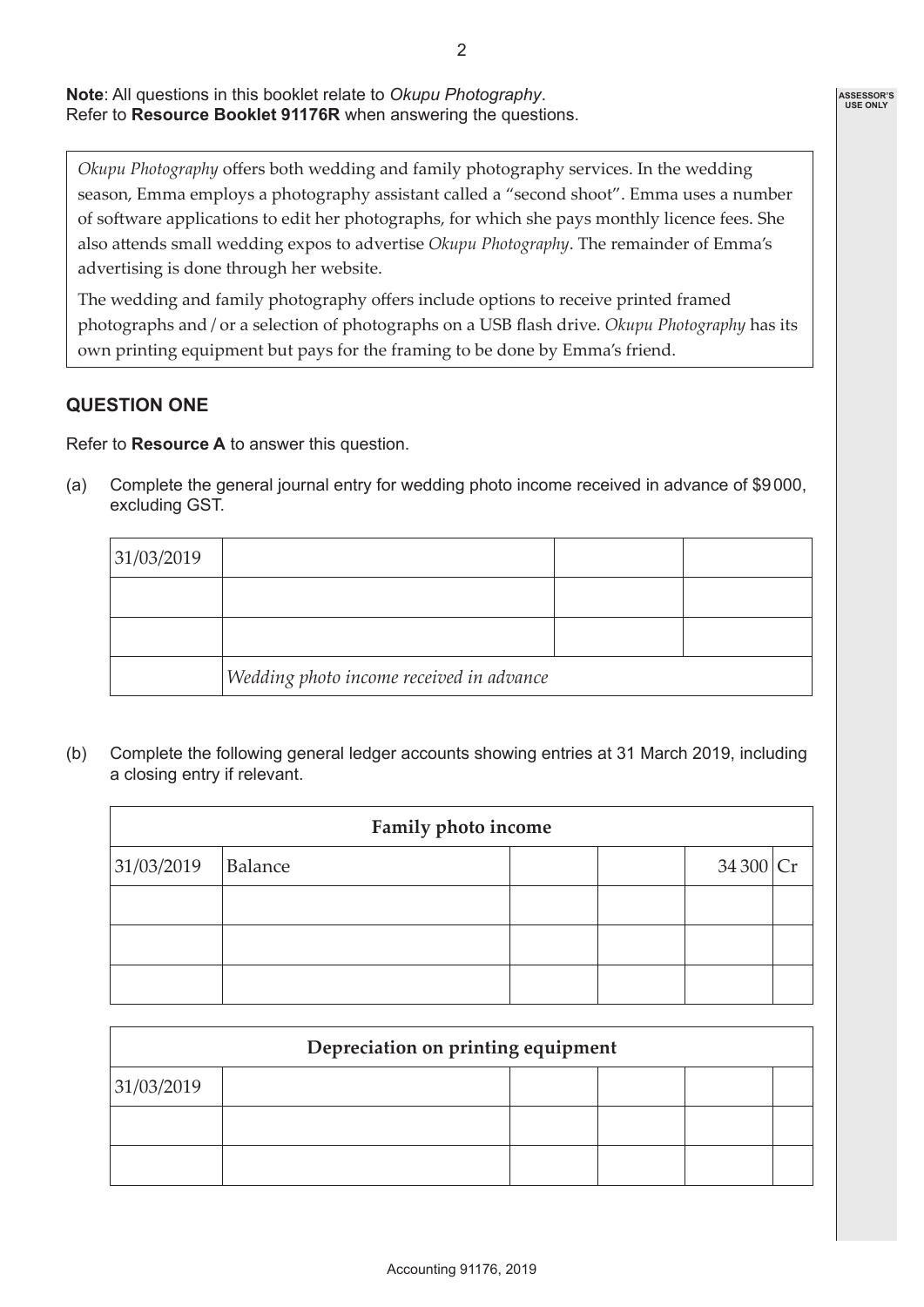**Note**: All questions in this booklet relate to *Okupu Photography*. Refer to **Resource Booklet 91176R** when answering the questions.

*Okupu Photography* offers both wedding and family photography services. In the wedding season, Emma employs a photography assistant called a "second shoot". Emma uses a number of software applications to edit her photographs, for which she pays monthly licence fees. She also attends small wedding expos to advertise *Okupu Photography*. The remainder of Emma's advertising is done through her website.

The wedding and family photography offers include options to receive printed framed photographs and / or a selection of photographs on a USB flash drive. *Okupu Photography* has its own printing equipment but pays for the framing to be done by Emma's friend.

## **QUESTION ONE**

Refer to **Resource A** to answer this question.

(a) Complete the general journal entry for wedding photo income received in advance of \$9000, excluding GST.

| 31/03/2019 |                                          |  |
|------------|------------------------------------------|--|
|            |                                          |  |
|            |                                          |  |
|            | Wedding photo income received in advance |  |

(b) Complete the following general ledger accounts showing entries at 31 March 2019, including a closing entry if relevant.

| <b>Family photo income</b> |         |  |  |             |  |
|----------------------------|---------|--|--|-------------|--|
| 31/03/2019                 | Balance |  |  | 34 300 $Cr$ |  |
|                            |         |  |  |             |  |
|                            |         |  |  |             |  |
|                            |         |  |  |             |  |

| Depreciation on printing equipment |  |  |  |  |  |
|------------------------------------|--|--|--|--|--|
| 31/03/2019                         |  |  |  |  |  |
|                                    |  |  |  |  |  |
|                                    |  |  |  |  |  |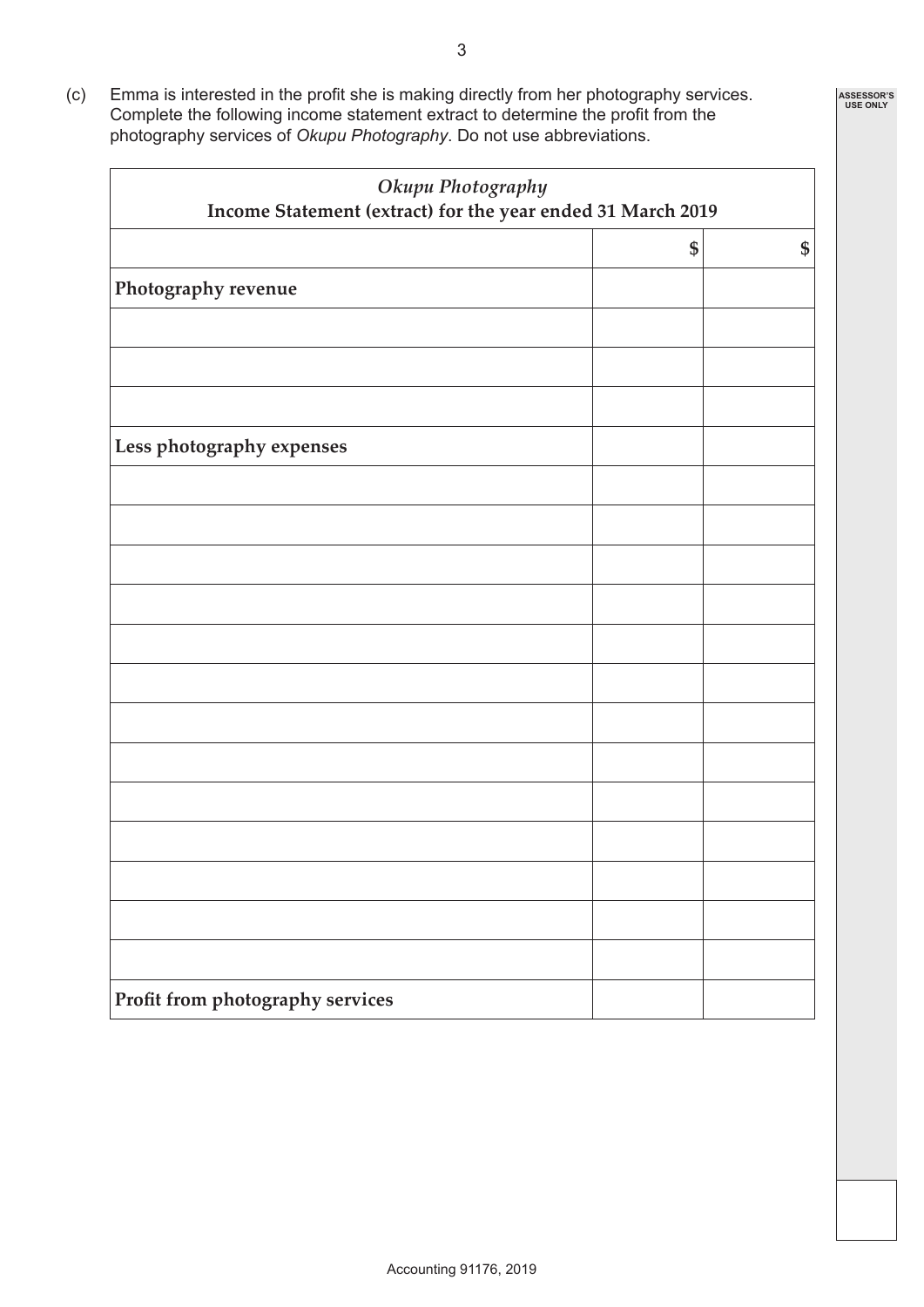(c) Emma is interested in the profit she is making directly from her photography services. Complete the following income statement extract to determine the profit from the photography services of *Okupu Photography*. Do not use abbreviations.

| Okupu Photography<br>Income Statement (extract) for the year ended 31 March 2019 |    |    |  |
|----------------------------------------------------------------------------------|----|----|--|
|                                                                                  | \$ | \$ |  |
| Photography revenue                                                              |    |    |  |
|                                                                                  |    |    |  |
|                                                                                  |    |    |  |
|                                                                                  |    |    |  |
| Less photography expenses                                                        |    |    |  |
|                                                                                  |    |    |  |
|                                                                                  |    |    |  |
|                                                                                  |    |    |  |
|                                                                                  |    |    |  |
|                                                                                  |    |    |  |
|                                                                                  |    |    |  |
|                                                                                  |    |    |  |
|                                                                                  |    |    |  |
|                                                                                  |    |    |  |
|                                                                                  |    |    |  |
|                                                                                  |    |    |  |
|                                                                                  |    |    |  |
|                                                                                  |    |    |  |
| Profit from photography services                                                 |    |    |  |

**ASSESSOR'S USE ONLY**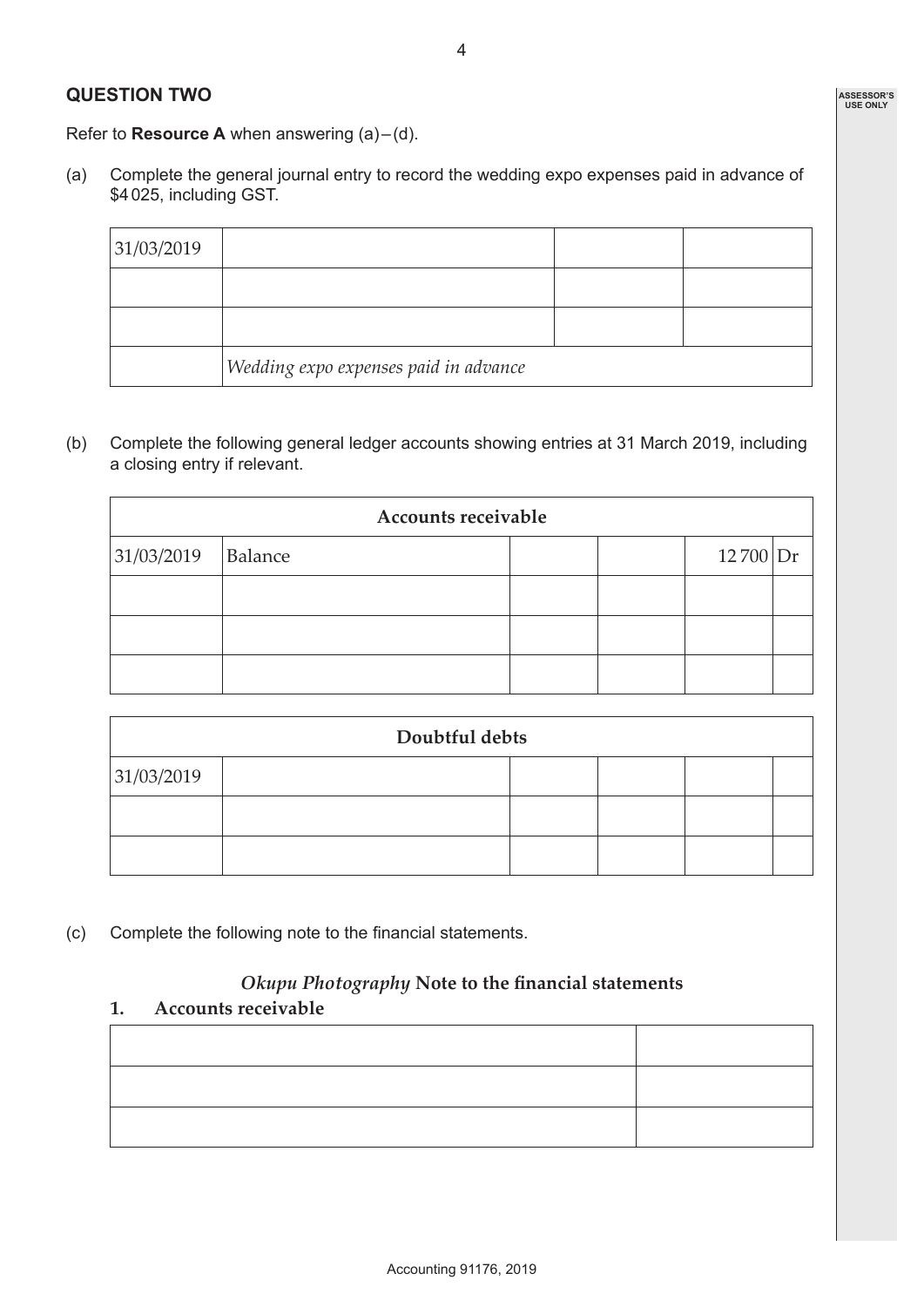## **ASSESSOR'S USE ONLY**

Refer to **Resource A** when answering (a)–(d).

(a) Complete the general journal entry to record the wedding expo expenses paid in advance of \$4025, including GST.

| 31/03/2019 |                                               |  |
|------------|-----------------------------------------------|--|
|            |                                               |  |
|            |                                               |  |
|            | $ $ Wedding expo expenses paid in advance $ $ |  |

(b) Complete the following general ledger accounts showing entries at 31 March 2019, including a closing entry if relevant.

| <b>Accounts receivable</b> |         |  |  |              |  |
|----------------------------|---------|--|--|--------------|--|
| 31/03/2019                 | Balance |  |  | $12\,700$ Dr |  |
|                            |         |  |  |              |  |
|                            |         |  |  |              |  |
|                            |         |  |  |              |  |

| Doubtful debts |  |  |  |  |  |
|----------------|--|--|--|--|--|
| 31/03/2019     |  |  |  |  |  |
|                |  |  |  |  |  |
|                |  |  |  |  |  |

(c) Complete the following note to the financial statements.

#### *Okupu Photography* **Note to the financial statements**

**1. Accounts receivable**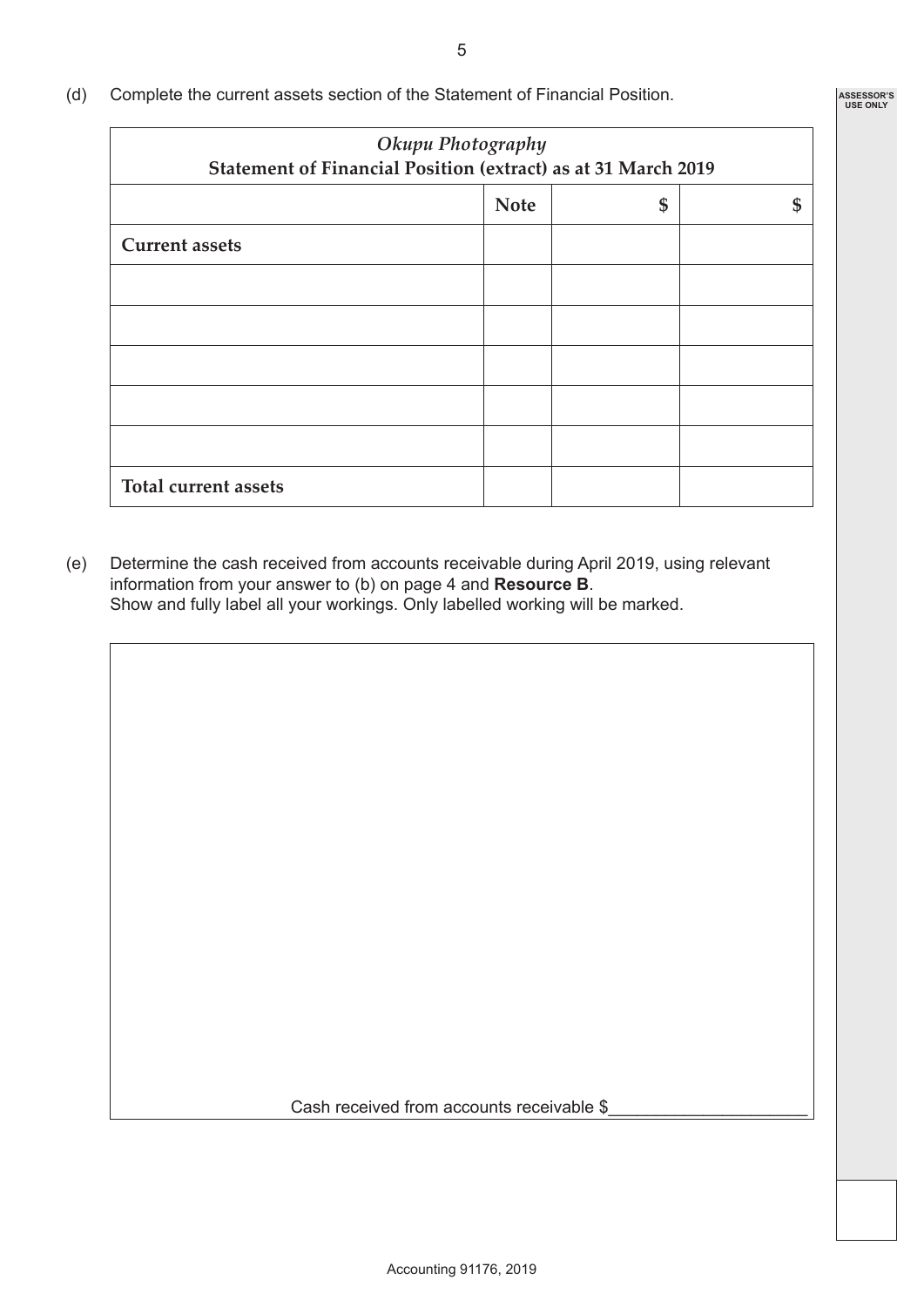(d) Complete the current assets section of the Statement of Financial Position.

| Okupu Photography<br>Statement of Financial Position (extract) as at 31 March 2019 |  |  |  |  |
|------------------------------------------------------------------------------------|--|--|--|--|
| <b>Note</b><br>\$                                                                  |  |  |  |  |
|                                                                                    |  |  |  |  |
|                                                                                    |  |  |  |  |
|                                                                                    |  |  |  |  |
|                                                                                    |  |  |  |  |
|                                                                                    |  |  |  |  |
|                                                                                    |  |  |  |  |
|                                                                                    |  |  |  |  |
|                                                                                    |  |  |  |  |

(e) Determine the cash received from accounts receivable during April 2019, using relevant information from your answer to (b) on page 4 and **Resource B**. Show and fully label all your workings. Only labelled working will be marked.

Cash received from accounts receivable \$

**ASSESSOR'S USE ONLY**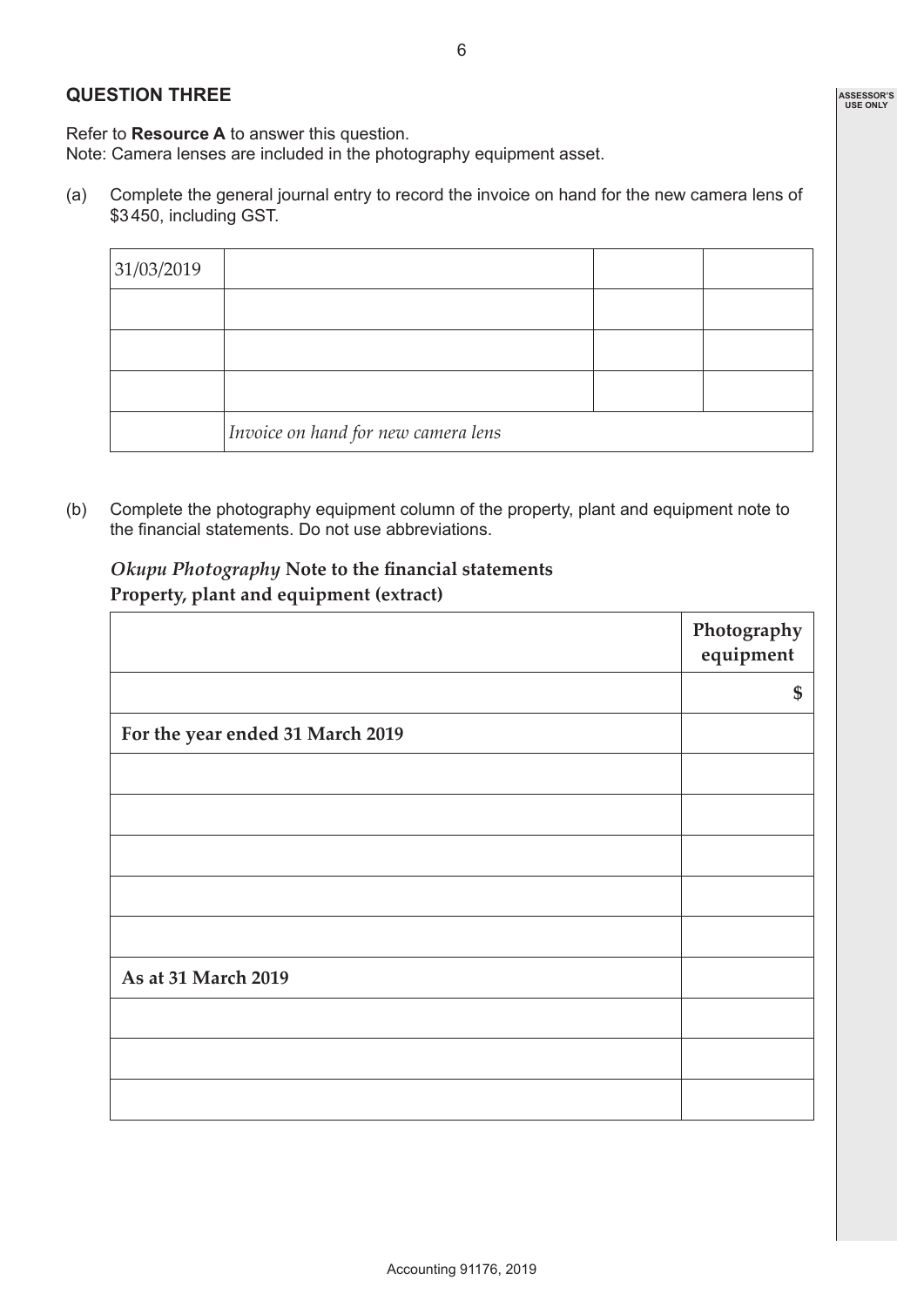#### **QUESTION THREE**

Refer to **Resource A** to answer this question.

Note: Camera lenses are included in the photography equipment asset.

(a) Complete the general journal entry to record the invoice on hand for the new camera lens of \$3450, including GST.

| 31/03/2019 |                                              |  |
|------------|----------------------------------------------|--|
|            |                                              |  |
|            |                                              |  |
|            |                                              |  |
|            | $ {\it Invoice}$ on hand for new camera lens |  |

(b) Complete the photography equipment column of the property, plant and equipment note to the financial statements. Do not use abbreviations.

*Okupu Photography* **Note to the financial statements Property, plant and equipment (extract)**

|                                  | Photography<br>equipment |
|----------------------------------|--------------------------|
|                                  | \$                       |
| For the year ended 31 March 2019 |                          |
|                                  |                          |
|                                  |                          |
|                                  |                          |
|                                  |                          |
|                                  |                          |
| As at 31 March 2019              |                          |
|                                  |                          |
|                                  |                          |
|                                  |                          |

**ASSESSOR'S USE ONLY**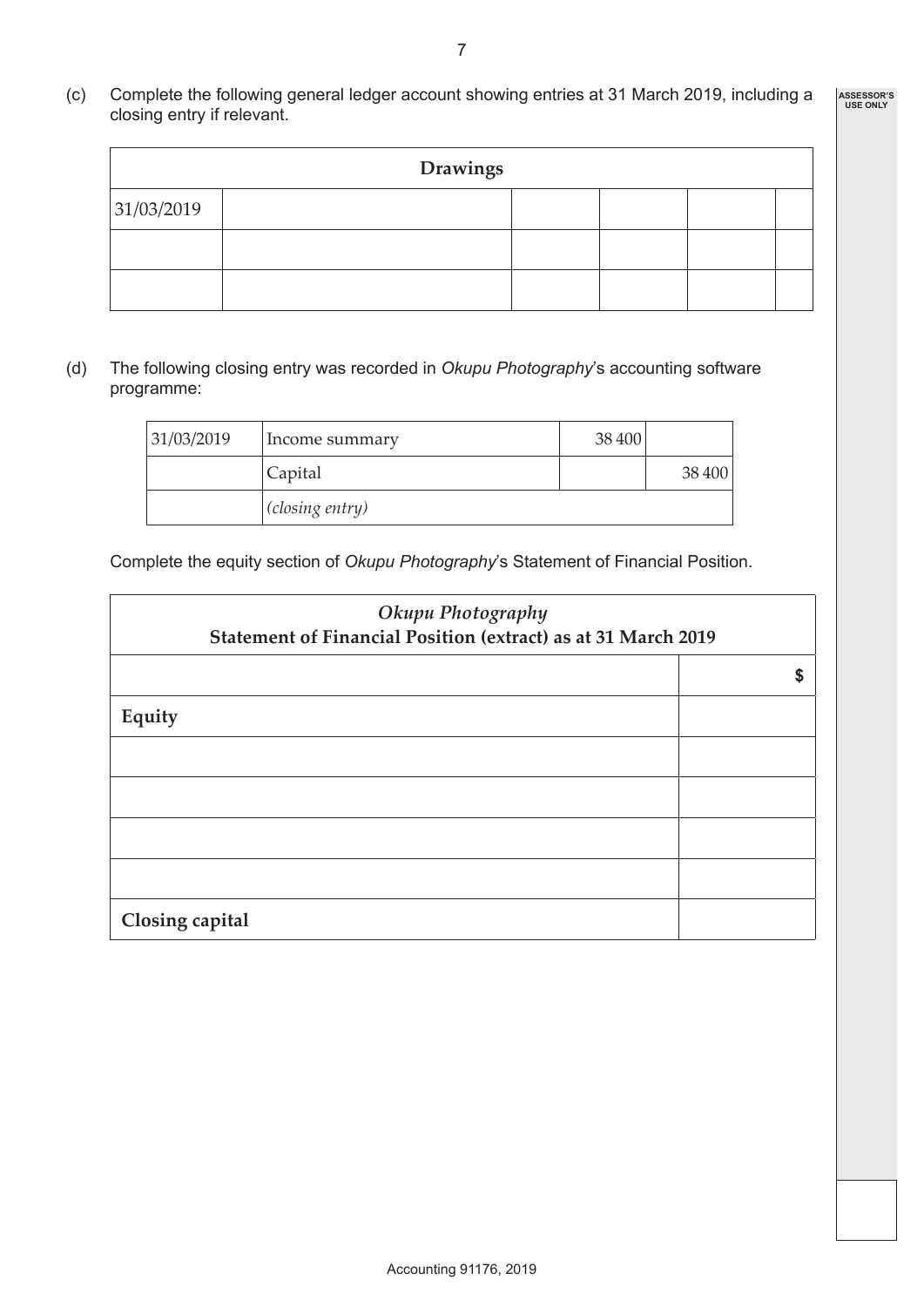(c) Complete the following general ledger account showing entries at 31 March 2019, including a closing entry if relevant. **ASSESSOR'S USE ONLY**

| <b>Drawings</b> |  |  |  |  |  |  |  |
|-----------------|--|--|--|--|--|--|--|
| 31/03/2019      |  |  |  |  |  |  |  |
|                 |  |  |  |  |  |  |  |
|                 |  |  |  |  |  |  |  |

(d) The following closing entry was recorded in *Okupu Photography*'s accounting software programme:

| 131/03/2019 | Income summary  | 38 400 |        |
|-------------|-----------------|--------|--------|
|             | Capital         |        | 38 400 |
|             | (closing entry) |        |        |

Complete the equity section of *Okupu Photography*'s Statement of Financial Position.

| Okupu Photography<br>Statement of Financial Position (extract) as at 31 March 2019 |   |  |  |  |
|------------------------------------------------------------------------------------|---|--|--|--|
|                                                                                    | S |  |  |  |
| Equity                                                                             |   |  |  |  |
|                                                                                    |   |  |  |  |
|                                                                                    |   |  |  |  |
|                                                                                    |   |  |  |  |
|                                                                                    |   |  |  |  |
| Closing capital                                                                    |   |  |  |  |